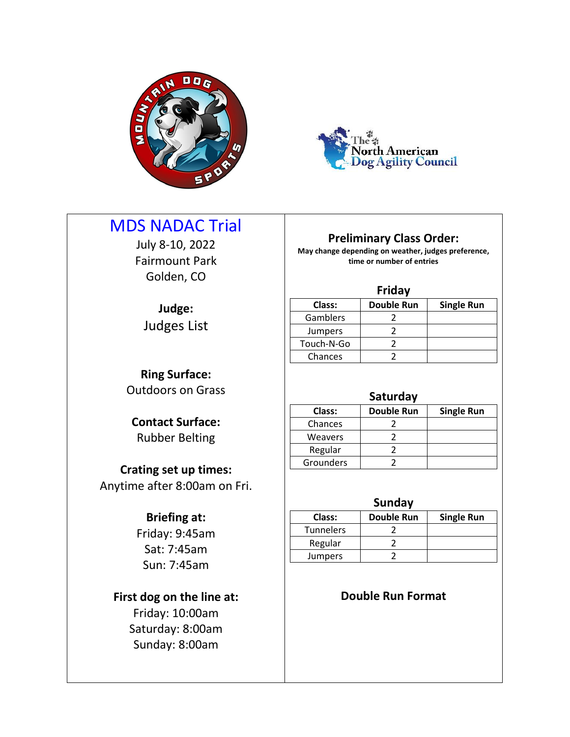



# MDS NADAC Trial

July 8-10, 2022 Fairmount Park Golden, CO

**Judge:** Judges List

# **Preliminary Class Order:**

**May change depending on weather, judges preference, time or number of entries**

## **Friday**

| Class:         | <b>Double Run</b> | <b>Single Run</b> |
|----------------|-------------------|-------------------|
| Gamblers       |                   |                   |
| <b>Jumpers</b> |                   |                   |
| Touch-N-Go     |                   |                   |
| Chances        |                   |                   |
|                |                   |                   |

## **Saturday**

| Class:         | <b>Double Run</b> | <b>Single Run</b> |
|----------------|-------------------|-------------------|
| Chances        |                   |                   |
| <b>Weavers</b> |                   |                   |
| Regular        |                   |                   |
| Grounders      |                   |                   |

### **Sunday**

| Class:           | <b>Double Run</b> | <b>Single Run</b> |
|------------------|-------------------|-------------------|
| <b>Tunnelers</b> |                   |                   |
| Regular          |                   |                   |
| <b>Jumpers</b>   |                   |                   |
|                  |                   |                   |

# **Double Run Format**

**Ring Surface:**

Outdoors on Grass

**Contact Surface:** Rubber Belting

# **Crating set up times:**

Anytime after 8:00am on Fri.

## **Briefing at:**

Friday: 9:45am Sat: 7:45am Sun: 7:45am

# **First dog on the line at:**

Friday: 10:00am Saturday: 8:00am Sunday: 8:00am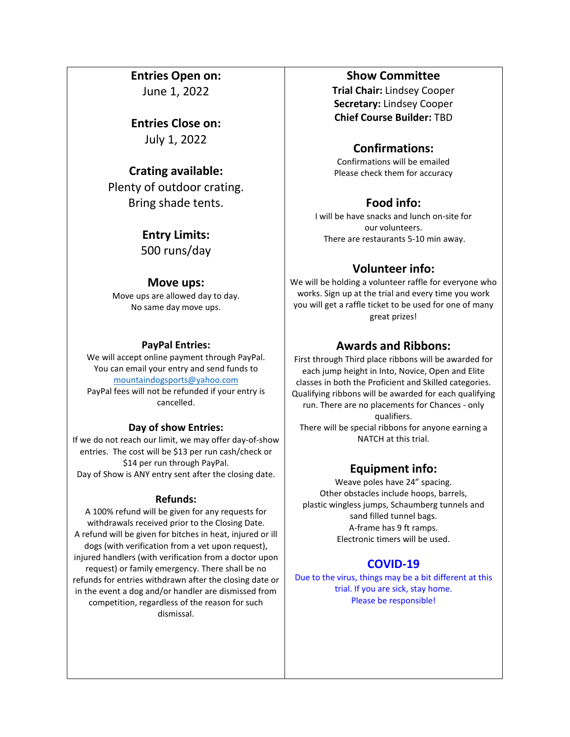## **Entries Open on:**

June 1, 2022

**Entries Close on:** July 1, 2022

## **Crating available:**

Plenty of outdoor crating. Bring shade tents.

> **Entry Limits:** 500 runs/day

### **Move ups:**

Move ups are allowed day to day. No same day move ups.

#### **PayPal Entries:**

We will accept online payment through PayPal. You can email your entry and send funds to [mountaindogsports@yahoo.com](mailto:mountaindogsports@yahoo.com) PayPal fees will not be refunded if your entry is cancelled.

#### **Day of show Entries:**

If we do not reach our limit, we may offer day-of-show entries. The cost will be \$13 per run cash/check or \$14 per run through PayPal. Day of Show is ANY entry sent after the closing date.

#### **Refunds:**

A 100% refund will be given for any requests for withdrawals received prior to the Closing Date. A refund will be given for bitches in heat, injured or ill dogs (with verification from a vet upon request), injured handlers (with verification from a doctor upon request) or family emergency. There shall be no refunds for entries withdrawn after the closing date or in the event a dog and/or handler are dismissed from competition, regardless of the reason for such dismissal.

### **Show Committee**

**Trial Chair:** Lindsey Cooper **Secretary:** Lindsey Cooper **Chief Course Builder:** TBD

## **Confirmations:**

Confirmations will be emailed Please check them for accuracy

## **Food info:**

I will be have snacks and lunch on-site for our volunteers. There are restaurants 5-10 min away.

## **Volunteer info:**

We will be holding a volunteer raffle for everyone who works. Sign up at the trial and every time you work you will get a raffle ticket to be used for one of many great prizes!

## **Awards and Ribbons:**

First through Third place ribbons will be awarded for each jump height in Into, Novice, Open and Elite classes in both the Proficient and Skilled categories. Qualifying ribbons will be awarded for each qualifying run. There are no placements for Chances - only qualifiers. There will be special ribbons for anyone earning a NATCH at this trial.

## **Equipment info:**

Weave poles have 24" spacing. Other obstacles include hoops, barrels, plastic wingless jumps, Schaumberg tunnels and sand filled tunnel bags.<br>A-frame has 9 ft ramps. Electronic timers will be used.

## **COVID-19**

Due to the virus, things may be a bit different at this trial. If you are sick, stay home. Please be responsible!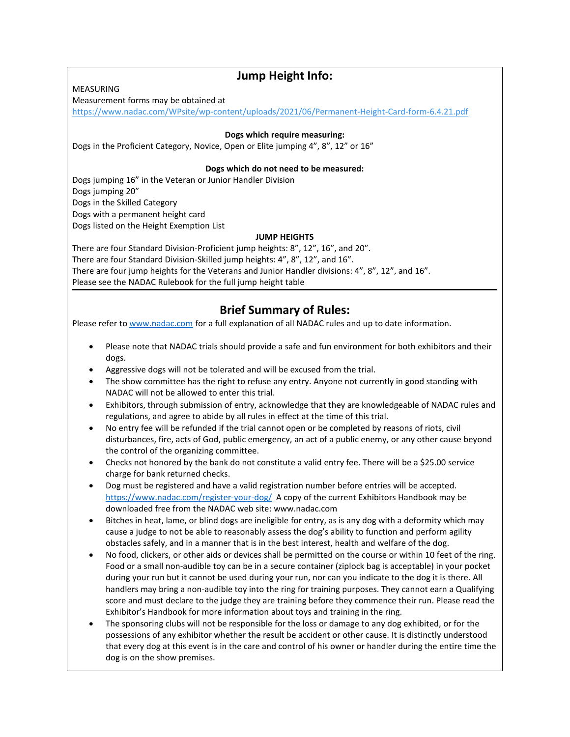MEASURING

# **Jump Height Info:**

Measurement forms may be obtained at

<https://www.nadac.com/WPsite/wp-content/uploads/2021/06/Permanent-Height-Card-form-6.4.21.pdf>

#### **Dogs which require measuring:**

Dogs in the Proficient Category, Novice, Open or Elite jumping 4", 8", 12" or 16"

#### **Dogs which do not need to be measured:**

Dogs jumping 16" in the Veteran or Junior Handler Division Dogs jumping 20" Dogs in the Skilled Category Dogs with a permanent height card Dogs listed on the Height Exemption List **JUMP HEIGHTS**

There are four Standard Division-Proficient jump heights: 8", 12", 16", and 20". There are four Standard Division-Skilled jump heights: 4", 8", 12", and 16". There are four jump heights for the Veterans and Junior Handler divisions: 4", 8", 12", and 16". Please see the NADAC Rulebook for the full jump height table

## **Brief Summary of Rules:**

Please refer to [www.nadac.com](http://www.nadac.com) for a full explanation of all NADAC rules and up to date information.

- Please note that NADAC trials should provide a safe and fun environment for both exhibitors and their dogs.
- Aggressive dogs will not be tolerated and will be excused from the trial.
- The show committee has the right to refuse any entry. Anyone not currently in good standing with NADAC will not be allowed to enter this trial.
- Exhibitors, through submission of entry, acknowledge that they are knowledgeable of NADAC rules and regulations, and agree to abide by all rules in effect at the time of this trial.
- No entry fee will be refunded if the trial cannot open or be completed by reasons of riots, civil disturbances, fire, acts of God, public emergency, an act of a public enemy, or any other cause beyond the control of the organizing committee.
- Checks not honored by the bank do not constitute a valid entry fee. There will be a \$25.00 service charge for bank returned checks.
- Dog must be registered and have a valid registration number before entries will be accepted. <https://www.nadac.com/register-your-dog/> A copy of the current Exhibitors Handbook may be downloaded free from the NADAC web site: www.nadac.com
- Bitches in heat, lame, or blind dogs are ineligible for entry, as is any dog with a deformity which may cause a judge to not be able to reasonably assess the dog's ability to function and perform agility obstacles safely, and in a manner that is in the best interest, health and welfare of the dog.
- No food, clickers, or other aids or devices shall be permitted on the course or within 10 feet of the ring. Food or a small non-audible toy can be in a secure container (ziplock bag is acceptable) in your pocket during your run but it cannot be used during your run, nor can you indicate to the dog it is there. All handlers may bring a non-audible toy into the ring for training purposes. They cannot earn a Qualifying score and must declare to the judge they are training before they commence their run. Please read the Exhibitor's Handbook for more information about toys and training in the ring.
- The sponsoring clubs will not be responsible for the loss or damage to any dog exhibited, or for the possessions of any exhibitor whether the result be accident or other cause. It is distinctly understood that every dog at this event is in the care and control of his owner or handler during the entire time the dog is on the show premises.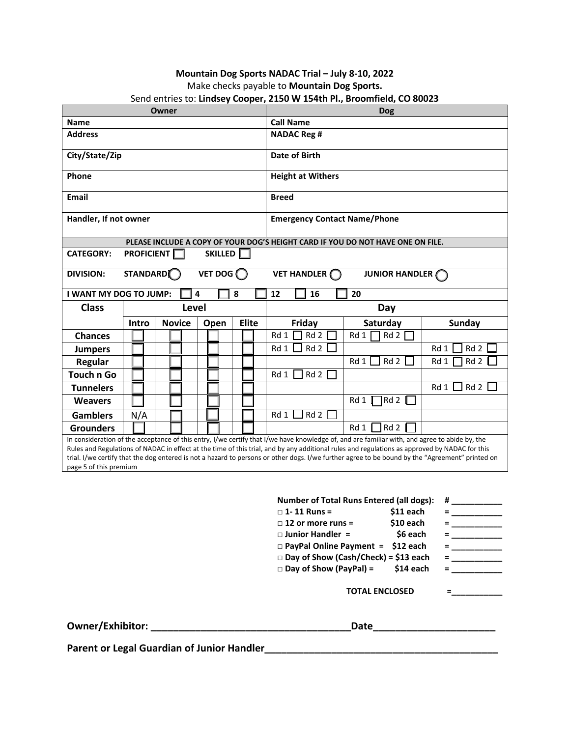#### **Mountain Dog Sports NADAC Trial – July 8-10, 2022** Make checks payable to **Mountain Dog Sports.** Send entries to: **Lindsey Cooper, 2150 W 154th Pl., Broomfield, CO 80023**

| <b>Name</b>           |                        |                                                    |                                     |   |      |                                                  |              |     |                                                                                                                                                                                    |                                                                                                     |                                                                                                                                                                                                                                                                                                                                                                                                                                                                                                                                                                                                                                                                                                                                                                                                         |
|-----------------------|------------------------|----------------------------------------------------|-------------------------------------|---|------|--------------------------------------------------|--------------|-----|------------------------------------------------------------------------------------------------------------------------------------------------------------------------------------|-----------------------------------------------------------------------------------------------------|---------------------------------------------------------------------------------------------------------------------------------------------------------------------------------------------------------------------------------------------------------------------------------------------------------------------------------------------------------------------------------------------------------------------------------------------------------------------------------------------------------------------------------------------------------------------------------------------------------------------------------------------------------------------------------------------------------------------------------------------------------------------------------------------------------|
|                       |                        |                                                    |                                     |   |      |                                                  |              |     |                                                                                                                                                                                    |                                                                                                     |                                                                                                                                                                                                                                                                                                                                                                                                                                                                                                                                                                                                                                                                                                                                                                                                         |
| City/State/Zip        |                        |                                                    |                                     |   |      |                                                  |              |     |                                                                                                                                                                                    |                                                                                                     |                                                                                                                                                                                                                                                                                                                                                                                                                                                                                                                                                                                                                                                                                                                                                                                                         |
|                       |                        |                                                    |                                     |   |      |                                                  |              |     |                                                                                                                                                                                    |                                                                                                     |                                                                                                                                                                                                                                                                                                                                                                                                                                                                                                                                                                                                                                                                                                                                                                                                         |
|                       |                        |                                                    |                                     |   |      |                                                  |              |     |                                                                                                                                                                                    |                                                                                                     |                                                                                                                                                                                                                                                                                                                                                                                                                                                                                                                                                                                                                                                                                                                                                                                                         |
| Handler, If not owner |                        |                                                    | <b>Emergency Contact Name/Phone</b> |   |      |                                                  |              |     |                                                                                                                                                                                    |                                                                                                     |                                                                                                                                                                                                                                                                                                                                                                                                                                                                                                                                                                                                                                                                                                                                                                                                         |
|                       |                        |                                                    |                                     |   |      |                                                  |              |     |                                                                                                                                                                                    |                                                                                                     |                                                                                                                                                                                                                                                                                                                                                                                                                                                                                                                                                                                                                                                                                                                                                                                                         |
|                       |                        |                                                    |                                     |   |      |                                                  |              |     |                                                                                                                                                                                    |                                                                                                     |                                                                                                                                                                                                                                                                                                                                                                                                                                                                                                                                                                                                                                                                                                                                                                                                         |
|                       |                        |                                                    |                                     |   |      |                                                  |              |     |                                                                                                                                                                                    |                                                                                                     |                                                                                                                                                                                                                                                                                                                                                                                                                                                                                                                                                                                                                                                                                                                                                                                                         |
|                       |                        |                                                    |                                     |   |      |                                                  | 12           | 16  | 20                                                                                                                                                                                 |                                                                                                     |                                                                                                                                                                                                                                                                                                                                                                                                                                                                                                                                                                                                                                                                                                                                                                                                         |
| <b>Class</b><br>Level |                        |                                                    |                                     |   | Day  |                                                  |              |     |                                                                                                                                                                                    |                                                                                                     |                                                                                                                                                                                                                                                                                                                                                                                                                                                                                                                                                                                                                                                                                                                                                                                                         |
| Intro                 |                        |                                                    |                                     |   |      |                                                  |              |     |                                                                                                                                                                                    |                                                                                                     | <b>Sunday</b>                                                                                                                                                                                                                                                                                                                                                                                                                                                                                                                                                                                                                                                                                                                                                                                           |
|                       |                        |                                                    |                                     |   |      |                                                  |              | Rd2 | Rd 1                                                                                                                                                                               |                                                                                                     |                                                                                                                                                                                                                                                                                                                                                                                                                                                                                                                                                                                                                                                                                                                                                                                                         |
|                       |                        |                                                    |                                     |   |      |                                                  |              |     |                                                                                                                                                                                    |                                                                                                     | Rd 1<br>Rd2                                                                                                                                                                                                                                                                                                                                                                                                                                                                                                                                                                                                                                                                                                                                                                                             |
|                       |                        |                                                    |                                     |   |      |                                                  |              |     | Rd 1                                                                                                                                                                               |                                                                                                     | Rd2<br>Rd 1                                                                                                                                                                                                                                                                                                                                                                                                                                                                                                                                                                                                                                                                                                                                                                                             |
|                       |                        |                                                    |                                     |   |      |                                                  |              | Rd2 |                                                                                                                                                                                    |                                                                                                     |                                                                                                                                                                                                                                                                                                                                                                                                                                                                                                                                                                                                                                                                                                                                                                                                         |
|                       |                        |                                                    |                                     |   |      |                                                  |              |     |                                                                                                                                                                                    |                                                                                                     | $\overline{\phantom{a}}$ Rd 2 $\overline{\phantom{a}}$<br>Rd1                                                                                                                                                                                                                                                                                                                                                                                                                                                                                                                                                                                                                                                                                                                                           |
|                       |                        |                                                    |                                     |   |      |                                                  |              |     | Rd 1                                                                                                                                                                               |                                                                                                     |                                                                                                                                                                                                                                                                                                                                                                                                                                                                                                                                                                                                                                                                                                                                                                                                         |
| N/A                   |                        |                                                    |                                     |   |      |                                                  |              |     |                                                                                                                                                                                    |                                                                                                     |                                                                                                                                                                                                                                                                                                                                                                                                                                                                                                                                                                                                                                                                                                                                                                                                         |
|                       |                        |                                                    |                                     |   |      |                                                  |              |     | Rd1                                                                                                                                                                                |                                                                                                     |                                                                                                                                                                                                                                                                                                                                                                                                                                                                                                                                                                                                                                                                                                                                                                                                         |
|                       |                        |                                                    |                                     |   |      |                                                  |              |     |                                                                                                                                                                                    |                                                                                                     |                                                                                                                                                                                                                                                                                                                                                                                                                                                                                                                                                                                                                                                                                                                                                                                                         |
|                       |                        |                                                    |                                     |   |      |                                                  |              |     |                                                                                                                                                                                    | \$11 each<br>\$10 each<br>\$6 each                                                                  | $=$<br>Ξ.                                                                                                                                                                                                                                                                                                                                                                                                                                                                                                                                                                                                                                                                                                                                                                                               |
|                       | page 5 of this premium | Owner<br><b>STANDARD</b><br>I WANT MY DOG TO JUMP: | <b>PROFICIENT</b><br><b>Novice</b>  | 4 | Open | SKILLED <sup>[1]</sup><br>VET DOG $\bigcap$<br>8 | <b>Elite</b> |     | <b>Call Name</b><br><b>NADAC Reg #</b><br>Date of Birth<br><b>Breed</b><br>Friday<br>Rd 1<br>$Rd 2$ $\Box$<br>Rd 1<br>Rd 1 $\Box$<br>$Rd1 \Box Rd2 \Box$<br>$\square$ 1- 11 Runs = | <b>Height at Withers</b><br>VET HANDLER (<br>$\Box$ 12 or more runs =<br>$\square$ Junior Handler = | $3000$ contribution to the second cooper, 2130 to 1340 cm in Decemberation to cooper<br><b>Dog</b><br>PLEASE INCLUDE A COPY OF YOUR DOG'S HEIGHT CARD IF YOU DO NOT HAVE ONE ON FILE.<br>JUNIOR HANDLER<br>Saturday<br>Rd2<br>Rd 2<br>Rd2<br>$\Box$ Rd 2<br>In consideration of the acceptance of this entry, I/we certify that I/we have knowledge of, and are familiar with, and agree to abide by, the<br>Rules and Regulations of NADAC in effect at the time of this trial, and by any additional rules and regulations as approved by NADAC for this<br>trial. I/we certify that the dog entered is not a hazard to persons or other dogs. I/we further agree to be bound by the "Agreement" printed on<br><b>Number of Total Runs Entered (all dogs):</b><br>□ PayPal Online Payment = \$12 each |

**Owner/Exhibitor: \_\_\_\_\_\_\_\_\_\_\_\_\_\_\_\_\_\_\_\_\_\_\_\_\_\_\_\_\_\_\_\_\_\_\_\_Date\_\_\_\_\_\_\_\_\_\_\_\_\_\_\_\_\_\_\_\_\_\_**

**Parent or Legal Guardian of Junior Handler\_\_\_\_\_\_\_\_\_\_\_\_\_\_\_\_\_\_\_\_\_\_\_\_\_\_\_\_\_\_\_\_\_\_\_\_\_\_\_\_\_\_**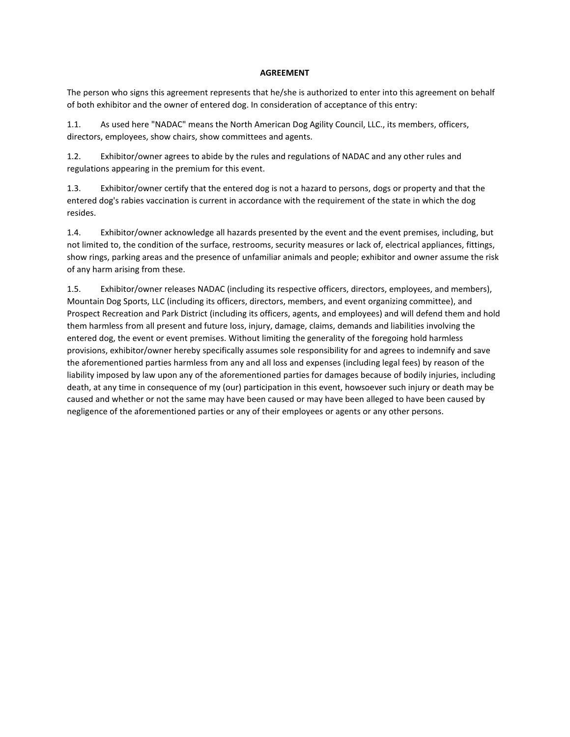#### **AGREEMENT**

The person who signs this agreement represents that he/she is authorized to enter into this agreement on behalf of both exhibitor and the owner of entered dog. In consideration of acceptance of this entry:

1.1. As used here "NADAC" means the North American Dog Agility Council, LLC., its members, officers, directors, employees, show chairs, show committees and agents.

1.2. Exhibitor/owner agrees to abide by the rules and regulations of NADAC and any other rules and regulations appearing in the premium for this event.

1.3. Exhibitor/owner certify that the entered dog is not a hazard to persons, dogs or property and that the entered dog's rabies vaccination is current in accordance with the requirement of the state in which the dog resides.

1.4. Exhibitor/owner acknowledge all hazards presented by the event and the event premises, including, but not limited to, the condition of the surface, restrooms, security measures or lack of, electrical appliances, fittings, show rings, parking areas and the presence of unfamiliar animals and people; exhibitor and owner assume the risk of any harm arising from these.

1.5. Exhibitor/owner releases NADAC (including its respective officers, directors, employees, and members), Mountain Dog Sports, LLC (including its officers, directors, members, and event organizing committee), and Prospect Recreation and Park District (including its officers, agents, and employees) and will defend them and hold them harmless from all present and future loss, injury, damage, claims, demands and liabilities involving the entered dog, the event or event premises. Without limiting the generality of the foregoing hold harmless provisions, exhibitor/owner hereby specifically assumes sole responsibility for and agrees to indemnify and save the aforementioned parties harmless from any and all loss and expenses (including legal fees) by reason of the liability imposed by law upon any of the aforementioned parties for damages because of bodily injuries, including death, at any time in consequence of my (our) participation in this event, howsoever such injury or death may be caused and whether or not the same may have been caused or may have been alleged to have been caused by negligence of the aforementioned parties or any of their employees or agents or any other persons.